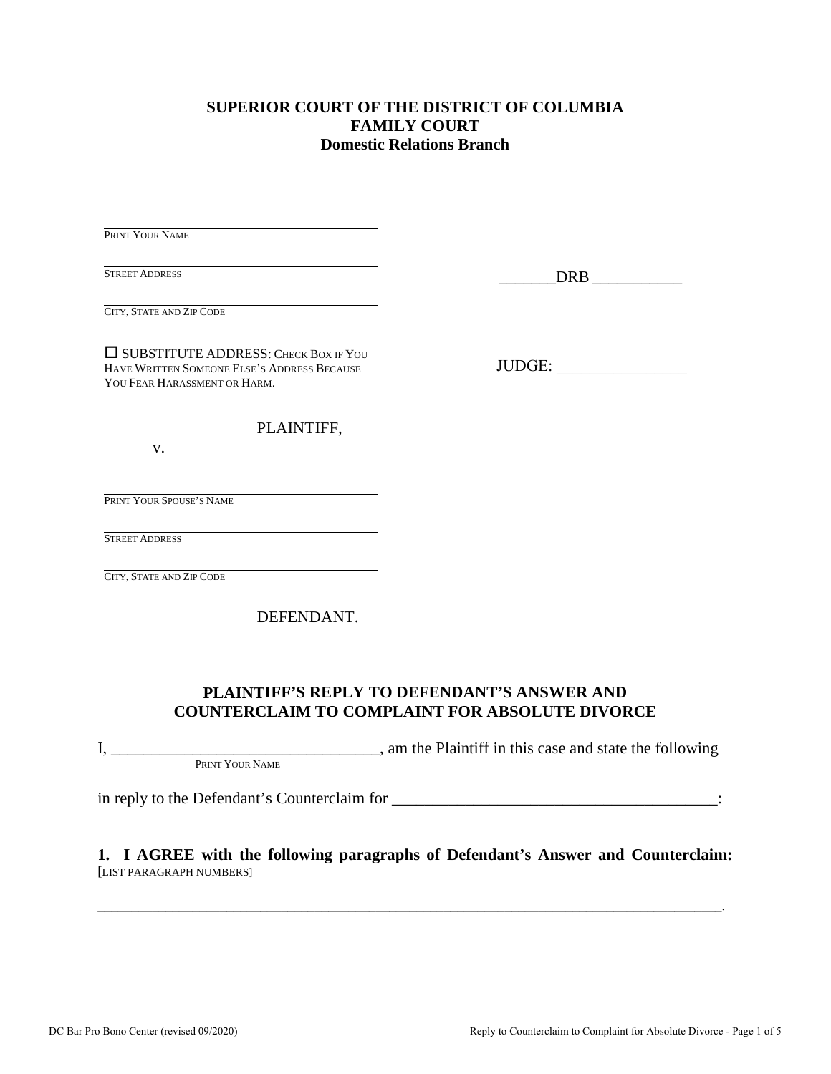### **SUPERIOR COURT OF THE DISTRICT OF COLUMBIA FAMILY COURT Domestic Relations Branch**

PRINT YOUR NAME

STREET ADDRESS

 $DRB$   $\qquad$ 

CITY, STATE AND ZIP CODE

 SUBSTITUTE ADDRESS: CHECK BOX IF YOU HAVE WRITTEN SOMEONE ELSE'S ADDRESS BECAUSE YOU FEAR HARASSMENT OR HARM.

JUDGE: \_\_\_\_\_\_\_\_\_\_\_\_\_\_\_\_

PLAINTIFF,

v.

PRINT YOUR SPOUSE'S NAME

STREET ADDRESS

CITY, STATE AND ZIP CODE

DEFENDANT.

### **PLAINTIFF'S REPLY TO DEFENDANT'S ANSWER AND COUNTERCLAIM TO COMPLAINT FOR ABSOLUTE DIVORCE**

I, \_\_\_\_\_\_\_\_\_\_\_\_\_\_\_\_\_\_\_\_\_\_\_\_\_\_\_\_\_\_\_\_\_, am the Plaintiff in this case and state the following PRINT YOUR NAME

in reply to the Defendant's Counterclaim for \_\_\_\_\_\_\_\_\_\_\_\_\_\_\_\_\_\_\_\_\_\_\_\_\_\_\_\_\_\_\_\_\_\_\_\_\_\_\_\_:

### **1. I AGREE with the following paragraphs of Defendant's Answer and Counterclaim:** [LIST PARAGRAPH NUMBERS]

\_\_\_\_\_\_\_\_\_\_\_\_\_\_\_\_\_\_\_\_\_\_\_\_\_\_\_\_\_\_\_\_\_\_\_\_\_\_\_\_\_\_\_\_\_\_\_\_\_\_\_\_\_\_\_\_\_\_\_\_\_\_\_\_\_\_\_\_\_\_\_\_\_\_\_\_\_\_\_\_\_\_\_\_\_\_\_\_\_\_\_\_.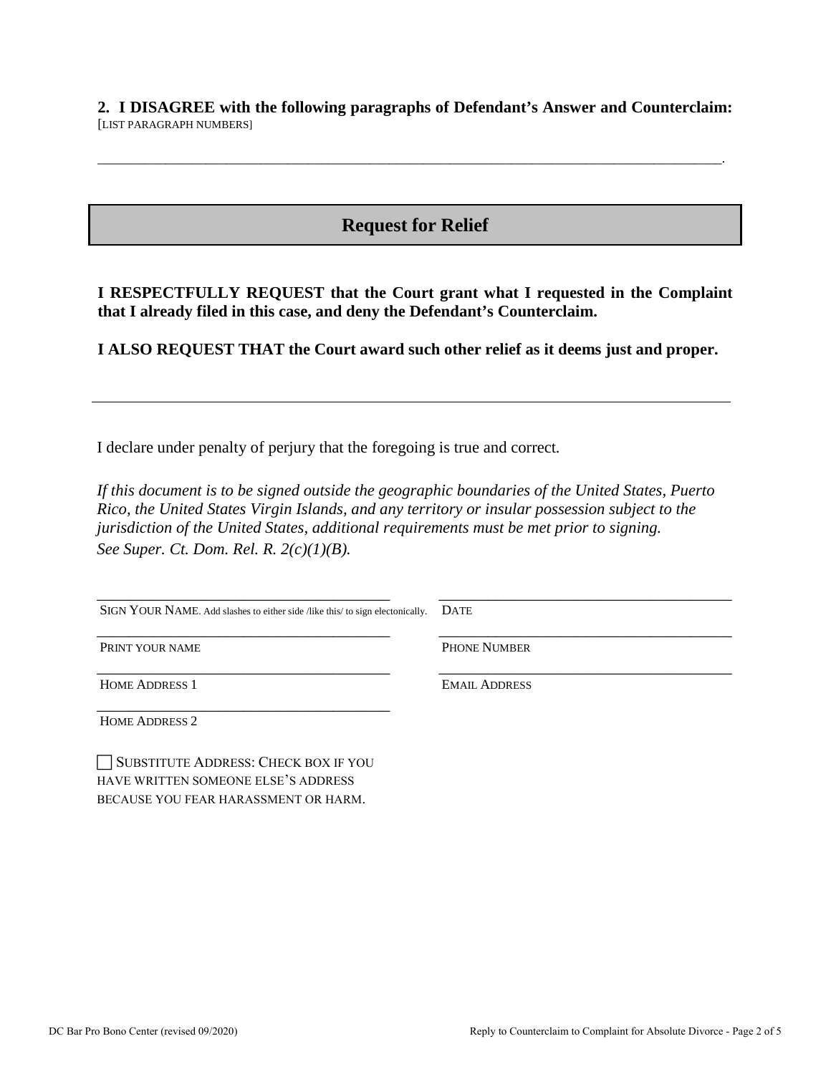**2. I DISAGREE with the following paragraphs of Defendant's Answer and Counterclaim:** [LIST PARAGRAPH NUMBERS]

\_\_\_\_\_\_\_\_\_\_\_\_\_\_\_\_\_\_\_\_\_\_\_\_\_\_\_\_\_\_\_\_\_\_\_\_\_\_\_\_\_\_\_\_\_\_\_\_\_\_\_\_\_\_\_\_\_\_\_\_\_\_\_\_\_\_\_\_\_\_\_\_\_\_\_\_\_\_\_\_\_\_\_\_\_\_\_\_\_\_\_\_.

# **Request for Relief**

**I RESPECTFULLY REQUEST that the Court grant what I requested in the Complaint that I already filed in this case, and deny the Defendant's Counterclaim.**

**I ALSO REQUEST THAT the Court award such other relief as it deems just and proper.**

I declare under penalty of perjury that the foregoing is true and correct*.* 

*If this document is to be signed outside the geographic boundaries of the United States, Puerto Rico, the United States Virgin Islands, and any territory or insular possession subject to the jurisdiction of the United States, additional requirements must be met prior to signing. See Super. Ct. Dom. Rel. R. 2(c)(1)(B).*

| SIGN YOUR NAME. Add slashes to either side /like this/ to sign electonically. | <b>DATE</b>          |
|-------------------------------------------------------------------------------|----------------------|
| PRINT YOUR NAME                                                               | <b>PHONE NUMBER</b>  |
| <b>HOME ADDRESS 1</b>                                                         | <b>EMAIL ADDRESS</b> |
| <b>HOME ADDRESS 2</b>                                                         |                      |

SUBSTITUTE ADDRESS: CHECK BOX IF YOU HAVE WRITTEN SOMEONE ELSE'S ADDRESS BECAUSE YOU FEAR HARASSMENT OR HARM.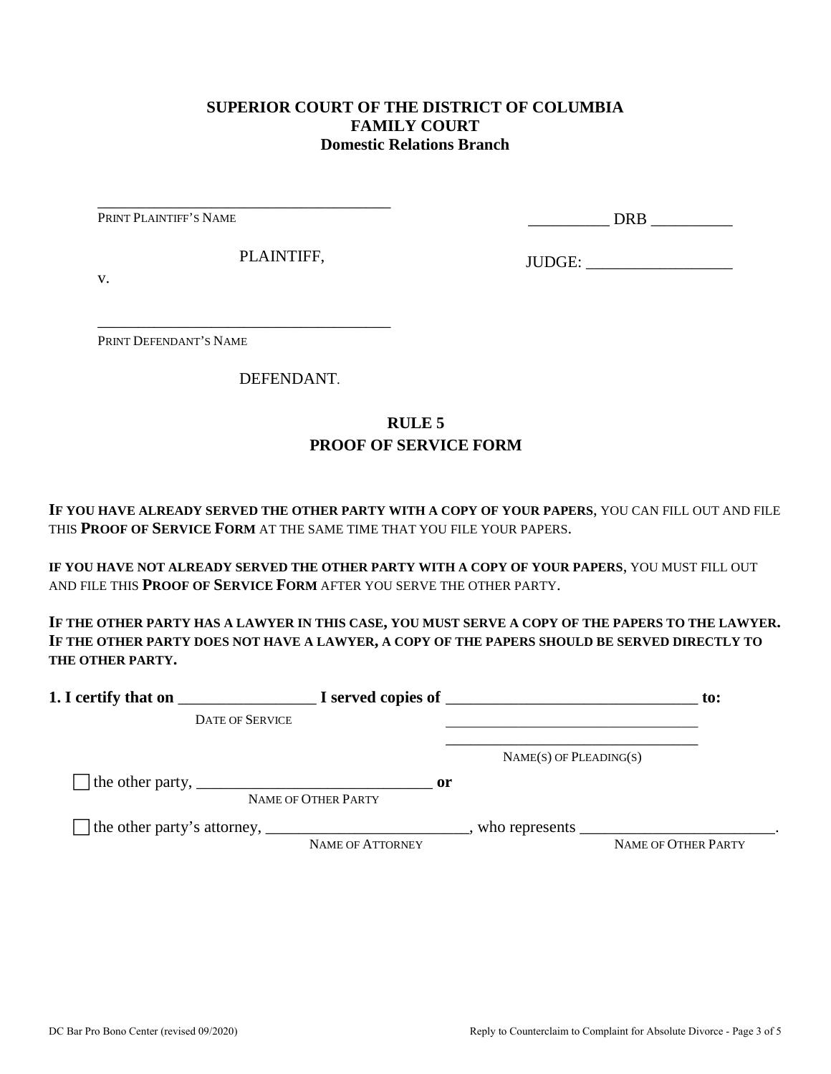### **SUPERIOR COURT OF THE DISTRICT OF COLUMBIA FAMILY COURT Domestic Relations Branch**

PRINT PLAINTIFF'S NAME

\_\_\_\_\_\_\_\_\_\_ DRB \_\_\_\_\_\_\_\_\_\_

PLAINTIFF,

\_\_\_\_\_\_\_\_\_\_\_\_\_\_\_\_\_\_\_\_\_\_\_\_\_\_\_\_\_\_\_\_\_\_\_\_

\_\_\_\_\_\_\_\_\_\_\_\_\_\_\_\_\_\_\_\_\_\_\_\_\_\_\_\_\_\_\_\_\_\_\_\_

JUDGE: \_\_\_\_\_\_\_\_\_\_\_\_\_\_\_\_\_\_

v.

PRINT DEFENDANT'S NAME

DEFENDANT.

## **RULE 5 PROOF OF SERVICE FORM**

**IF YOU HAVE ALREADY SERVED THE OTHER PARTY WITH A COPY OF YOUR PAPERS**, YOU CAN FILL OUT AND FILE THIS **PROOF OF SERVICE FORM** AT THE SAME TIME THAT YOU FILE YOUR PAPERS.

**IF YOU HAVE NOT ALREADY SERVED THE OTHER PARTY WITH A COPY OF YOUR PAPERS**, YOU MUST FILL OUT AND FILE THIS **PROOF OF SERVICE FORM** AFTER YOU SERVE THE OTHER PARTY.

**IF THE OTHER PARTY HAS A LAWYER IN THIS CASE, YOU MUST SERVE A COPY OF THE PAPERS TO THE LAWYER. IF THE OTHER PARTY DOES NOT HAVE A LAWYER, A COPY OF THE PAPERS SHOULD BE SERVED DIRECTLY TO THE OTHER PARTY.** 

| 1. I certify that on                                                                                      |                                      | $\blacksquare$ $\blacksquare$ I served copies of $\blacksquare$ | $\mathbf{to}$ :     |
|-----------------------------------------------------------------------------------------------------------|--------------------------------------|-----------------------------------------------------------------|---------------------|
| <b>DATE OF SERVICE</b>                                                                                    |                                      |                                                                 |                     |
|                                                                                                           |                                      | $NAME(S)$ OF PLEADING(S)                                        |                     |
| The other party, $\frac{1}{\sqrt{1-\frac{1}{2}}}\left\lfloor \frac{1}{2}\right\rfloor$                    | $\mathbf{or}$<br>NAME OF OTHER PARTY |                                                                 |                     |
| The other party's attorney, _______________________________, who represents ____________________________. | NAME OF ATTORNEY                     |                                                                 | NAME OF OTHER PARTY |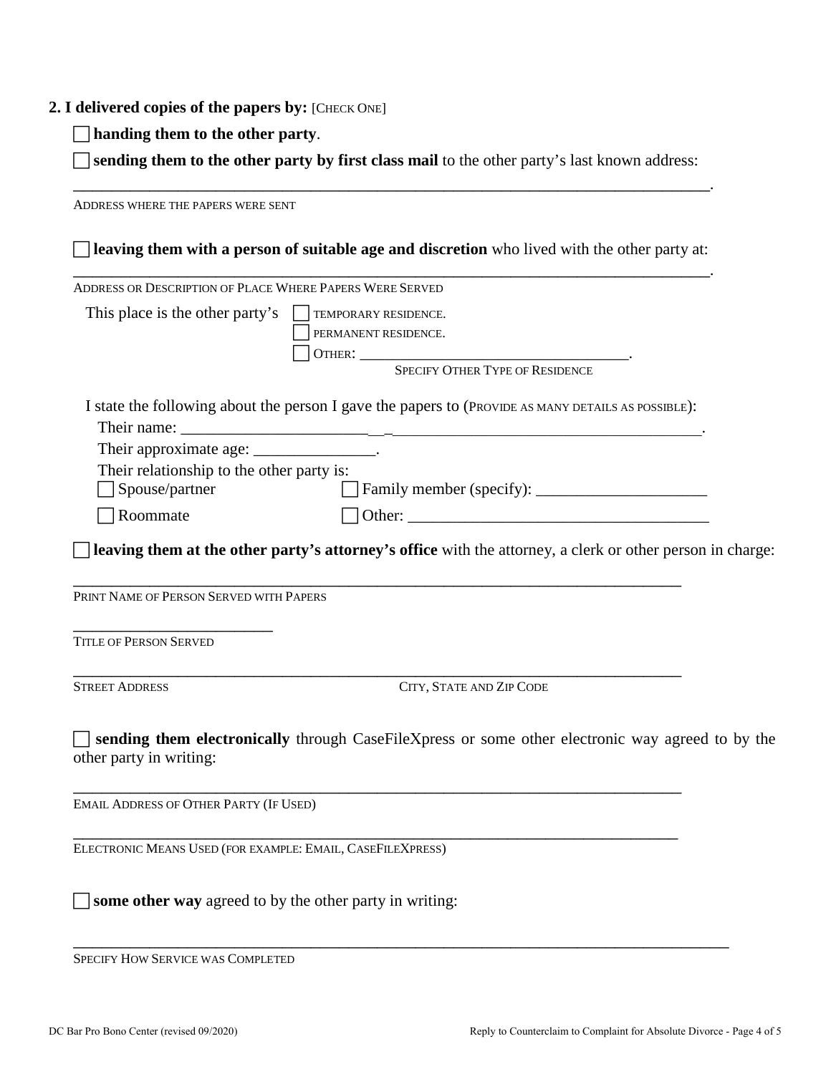#### **2. I delivered copies of the papers by:** [CHECK ONE]

**handing them to the other party**.

 **sending them to the other party by first class mail** to the other party's last known address: \_\_\_\_\_\_\_\_\_\_\_\_\_\_\_\_\_\_\_\_\_\_\_\_\_\_\_\_\_\_\_\_\_\_\_\_\_\_\_\_\_\_\_\_\_\_\_\_\_\_\_\_\_\_\_\_\_\_\_\_\_\_\_\_\_\_\_.

ADDRESS WHERE THE PAPERS WERE SENT **leaving them with a person of suitable age and discretion** who lived with the other party at: \_\_\_\_\_\_\_\_\_\_\_\_\_\_\_\_\_\_\_\_\_\_\_\_\_\_\_\_\_\_\_\_\_\_\_\_\_\_\_\_\_\_\_\_\_\_\_\_\_\_\_\_\_\_\_\_\_\_\_\_\_\_\_\_\_\_\_. ADDRESS OR DESCRIPTION OF PLACE WHERE PAPERS WERE SERVED This place is the other party's  $\Box$  TEMPORARY RESIDENCE. PERMANENT RESIDENCE. OTHER: \_\_\_\_\_\_\_\_\_\_\_\_\_\_\_\_\_\_\_\_\_\_\_\_\_\_\_\_\_\_\_\_\_. SPECIFY OTHER TYPE OF RESIDENCE I state the following about the person I gave the papers to (PROVIDE AS MANY DETAILS AS POSSIBLE): Their name: Their approximate age: \_\_\_\_\_\_\_\_\_\_\_\_\_\_\_\_\_. Their relationship to the other party is: □ Spouse/partner Family member (specify): \_\_\_\_\_\_\_\_\_\_\_\_\_\_\_\_\_\_\_\_\_\_\_\_\_\_  $\Box$  Roommate  $\Box$  Other: **leaving them at the other party's attorney's office** with the attorney, a clerk or other person in charge: \_\_\_\_\_\_\_\_\_\_\_\_\_\_\_\_\_\_\_\_\_\_\_\_\_\_\_\_\_\_\_\_\_\_\_\_\_\_\_\_\_\_\_\_\_\_\_\_\_\_\_\_\_\_\_\_\_\_\_\_\_\_\_\_ PRINT NAME OF PERSON SERVED WITH PAPERS \_\_\_\_\_\_\_\_\_\_\_\_\_\_\_\_\_\_\_\_\_ TITLE OF PERSON SERVED \_\_\_\_\_\_\_\_\_\_\_\_\_\_\_\_\_\_\_\_\_\_\_\_\_\_\_\_\_\_\_\_\_\_\_\_\_\_\_\_\_\_\_\_\_\_\_\_\_\_\_\_\_\_\_\_\_\_\_\_\_\_\_\_ STREET ADDRESS CITY, STATE AND ZIP CODE **sending them electronically** through CaseFileXpress or some other electronic way agreed to by the other party in writing: \_\_\_\_\_\_\_\_\_\_\_\_\_\_\_\_\_\_\_\_\_\_\_\_\_\_\_\_\_\_\_\_\_\_\_\_\_\_\_\_\_\_\_\_\_\_\_\_\_\_\_\_\_\_\_\_\_\_\_\_\_\_\_\_ EMAIL ADDRESS OF OTHER PARTY (IF USED) \_\_\_\_\_\_\_\_\_\_\_\_\_\_\_\_\_\_\_\_\_\_\_\_\_\_\_\_\_\_\_\_\_\_\_\_\_\_\_\_\_\_\_\_\_\_\_\_\_\_\_\_\_\_\_\_\_\_\_\_\_\_\_\_ ELECTRONIC MEANS USED (FOR EXAMPLE: EMAIL, CASEFILEXPRESS) **some other way** agreed to by the other party in writing:

\_\_\_\_\_\_\_\_\_\_\_\_\_\_\_\_\_\_\_\_\_\_\_\_\_\_\_\_\_\_\_\_\_\_\_\_\_\_\_\_\_\_\_\_\_\_\_\_\_\_\_\_\_\_\_\_\_\_\_\_\_\_\_\_\_\_\_\_\_ SPECIFY HOW SERVICE WAS COMPLETED